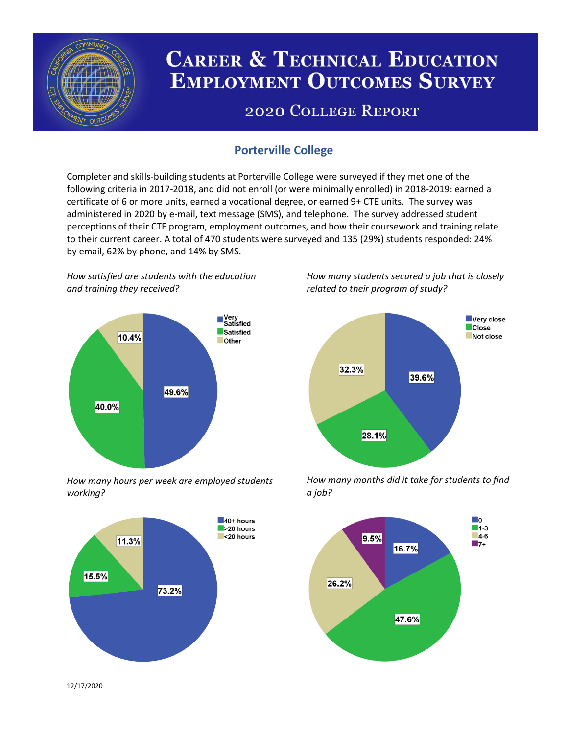

# **CAREER & TECHNICAL EDUCATION EMPLOYMENT OUTCOMES SURVEY**

## **2020 COLLEGE REPORT**

### **Porterville College**

Completer and skills-building students at Porterville College were surveyed if they met one of the following criteria in 2017-2018, and did not enroll (or were minimally enrolled) in 2018-2019: earned a certificate of 6 or more units, earned a vocational degree, or earned 9+ CTE units. The survey was administered in 2020 by e-mail, text message (SMS), and telephone. The survey addressed student perceptions of their CTE program, employment outcomes, and how their coursework and training relate to their current career. A total of 470 students were surveyed and 135 (29%) students responded: 24% by email, 62% by phone, and 14% by SMS.

*How satisfied are students with the education and training they received?*



*How many hours per week are employed students working?*



*How many students secured a job that is closely related to their program of study?*



*How many months did it take for students to find a job?*



12/17/2020